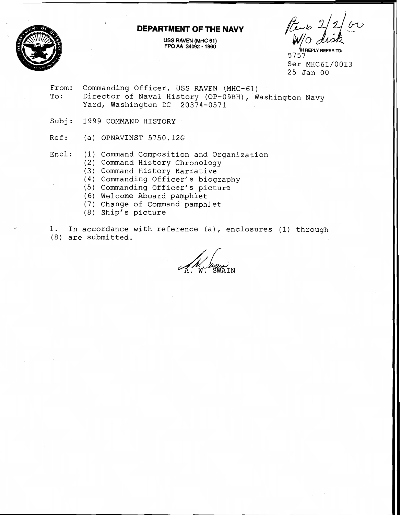#### **DEPARTMENT OF THE NAVY**



**USS RAVEN (MHC 61) FPO AA unas** - **I oan** . . - . - . - .--- . **"WW** 

**{N REPLY REFER TO:**  5757 Ser MHC61/0013 25 Jan 00

- From: Commanding Officer, USS RAVEN (MHC-61) To: Director of Naval History (OP-09BH), Washington Navy Yard, Washington DC 20374-0571
- Subj: 1999 COMMAND HISTORY
- Ref: (a) OPNAVINST 5750.12G
- Encl: (1) Command Composition and Organization
	- (2) Command History Chronology
	- (3) Command History Narrative
	- (4) Commanding Officer's biography
	- (5) Commanding Officer's picture
	- (6) Welcome Aboard pamphlet
	- (7) Change of Command pamphlet
	- (8) Ship's picture

1. In accordance with reference (a), enclosures (1) through (8) are submitted.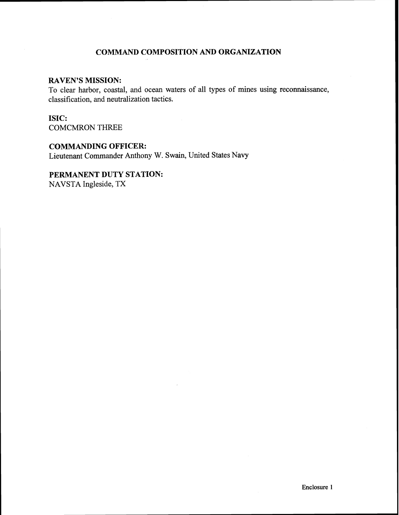## **COMMAND COMPOSITION AND ORGANIZATION**

## **RAVEN'S MISSION:**

To clear harbor, coastal, and ocean waters of all types of mines using reconnaissance, classification, and neutralization tactics.

## **ISIC:**

COMCMRON THREE

# **COMMANDING OFFICER:**

Lieutenant Commander Anthony W. Swain, United States Navy

## **PERMANENT DUTY STATION:**

NAVSTA Ingleside, TX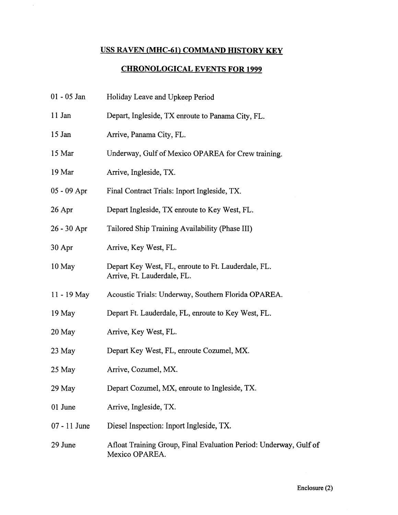# **USS RAVEN (MHC-61) COMMAND HISTORY KEY**

 $\frac{1}{2}$ 

# **CHRONOLOGICAL EVENTS FOR 1999**

| $01 - 05$ Jan  | Holiday Leave and Upkeep Period                                                     |
|----------------|-------------------------------------------------------------------------------------|
| 11 Jan         | Depart, Ingleside, TX enroute to Panama City, FL.                                   |
| $15$ Jan       | Arrive, Panama City, FL.                                                            |
| 15 Mar         | Underway, Gulf of Mexico OPAREA for Crew training.                                  |
| 19 Mar         | Arrive, Ingleside, TX.                                                              |
| $05 - 09$ Apr  | Final Contract Trials: Inport Ingleside, TX.                                        |
| $26$ Apr       | Depart Ingleside, TX enroute to Key West, FL.                                       |
| $26 - 30$ Apr  | Tailored Ship Training Availability (Phase III)                                     |
| $30$ Apr       | Arrive, Key West, FL.                                                               |
| 10 May         | Depart Key West, FL, enroute to Ft. Lauderdale, FL.<br>Arrive, Ft. Lauderdale, FL.  |
| 11 - 19 May    | Acoustic Trials: Underway, Southern Florida OPAREA.                                 |
| 19 May         | Depart Ft. Lauderdale, FL, enroute to Key West, FL.                                 |
| 20 May         | Arrive, Key West, FL.                                                               |
| $23$ May       | Depart Key West, FL, enroute Cozumel, MX.                                           |
| 25 May         | Arrive, Cozumel, MX.                                                                |
| 29 May         | Depart Cozumel, MX, enroute to Ingleside, TX.                                       |
| 01 June        | Arrive, Ingleside, TX.                                                              |
| $07 - 11$ June | Diesel Inspection: Inport Ingleside, TX.                                            |
| 29 June        | Afloat Training Group, Final Evaluation Period: Underway, Gulf of<br>Mexico OPAREA. |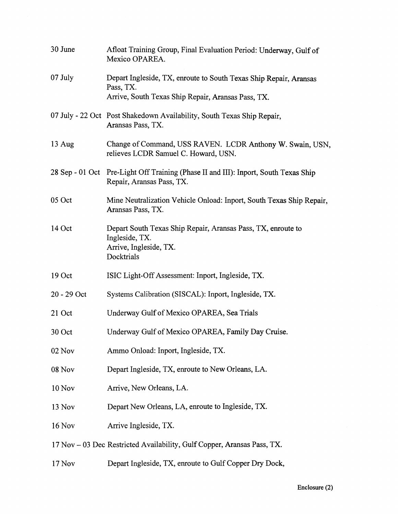| 30 June          | Afloat Training Group, Final Evaluation Period: Underway, Gulf of<br>Mexico OPAREA.                                                  |
|------------------|--------------------------------------------------------------------------------------------------------------------------------------|
| 07 July          | Depart Ingleside, TX, enroute to South Texas Ship Repair, Aransas<br>Pass, TX.<br>Arrive, South Texas Ship Repair, Aransas Pass, TX. |
|                  | 07 July - 22 Oct Post Shakedown Availability, South Texas Ship Repair,<br>Aransas Pass, TX.                                          |
| $13 \text{ Aug}$ | Change of Command, USS RAVEN. LCDR Anthony W. Swain, USN,<br>relieves LCDR Samuel C. Howard, USN.                                    |
|                  | 28 Sep - 01 Oct Pre-Light Off Training (Phase II and III): Inport, South Texas Ship<br>Repair, Aransas Pass, TX.                     |
| 05 Oct           | Mine Neutralization Vehicle Onload: Inport, South Texas Ship Repair,<br>Aransas Pass, TX.                                            |
| 14 Oct           | Depart South Texas Ship Repair, Aransas Pass, TX, enroute to<br>Ingleside, TX.<br>Arrive, Ingleside, TX.<br>Docktrials               |
| 19 Oct           | ISIC Light-Off Assessment: Inport, Ingleside, TX.                                                                                    |
| 20 - 29 Oct      | Systems Calibration (SISCAL): Inport, Ingleside, TX.                                                                                 |
| 21 Oct           | Underway Gulf of Mexico OPAREA, Sea Trials                                                                                           |
| 30 Oct           | Underway Gulf of Mexico OPAREA, Family Day Cruise.                                                                                   |
| $02$ Nov         | Ammo Onload: Inport, Ingleside, TX.                                                                                                  |
| 08 Nov           | Depart Ingleside, TX, enroute to New Orleans, LA.                                                                                    |
| 10 Nov           | Arrive, New Orleans, LA.                                                                                                             |
| 13 Nov           | Depart New Orleans, LA, enroute to Ingleside, TX.                                                                                    |
| <b>16 Nov</b>    | Arrive Ingleside, TX.                                                                                                                |
|                  | 17 Nov – 03 Dec Restricted Availability, Gulf Copper, Aransas Pass, TX.                                                              |
| 17 Nov           | Depart Ingleside, TX, enroute to Gulf Copper Dry Dock,                                                                               |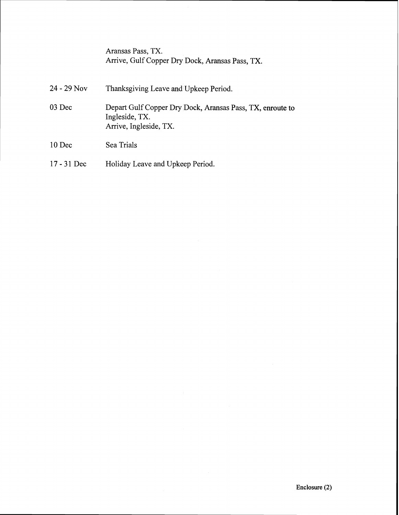| Aransas Pass, TX.                               |  |
|-------------------------------------------------|--|
| Arrive, Gulf Copper Dry Dock, Aransas Pass, TX. |  |

| $24 - 29$ Nov | Thanksgiving Leave and Upkeep Period.                                                                 |
|---------------|-------------------------------------------------------------------------------------------------------|
| 03 Dec        | Depart Gulf Copper Dry Dock, Aransas Pass, TX, enroute to<br>Ingleside, TX.<br>Arrive, Ingleside, TX. |
| $10$ Dec      | Sea Trials                                                                                            |
| $17 - 31$ Dec | Holiday Leave and Upkeep Period.                                                                      |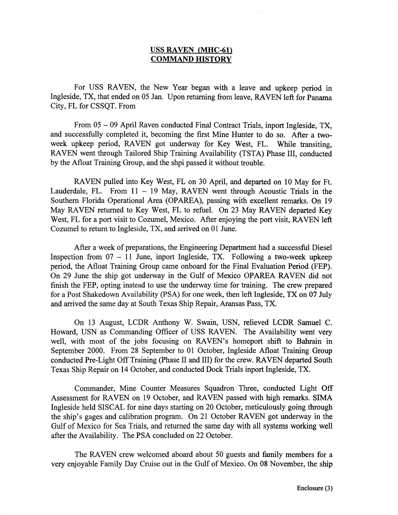## **USS RAVEN (MHC-61) COMMAND HISTORY**

For USS RAVEN, the New Year began with a leave and upkeep period in Ingleside, TX, that ended on 05 Jan. Upon returning from leave, RAVEN left for Panama City, FL for CSSQT. From

From 05 - 09 April Raven conducted Final Contract Trials, inport Ingleside, TX, and successfully completed it, becoming the first Mine Hunter to do so. After a twoweek upkeep period, RAVEN got underway for Key West, FL. While transiting, RAVEN went through Tailored Ship Training Availability (TSTA) Phase III, conducted by the Afloat Training Group, and the shpi passed it without trouble.

RAVEN pulled into Key West, FI, on 30 April, and departed on 10 May for Ft. Lauderdale, FL. From  $11 - 19$  May, RAVEN went through Acoustic Trials in the Southern Florida Operational Area (OPAREA), passing with excellent remarks. On 19 May RAVEN returned to Key West, FL to refuel. On 23 May RAVEN departed Key West, FL for a port visit to Cozumel, Mexico. After enjoying the port visit, RAVEN left Cozumel to return to Ingleside, TX, and arrived on 01 June.

After a week of preparations, the Engineering Department had a successful Diesel Inspection from  $07 - 11$  June, inport Ingleside, TX. Following a two-week upkeep period, the Afloat Training Group came anboard for the Final Evaluation Period (FEP). On 29 June the ship got underway in the Gulf of Mexico OPAREA RAVEN did not finish the FEP, opting instead to use the underway time for training. The crew prepared for a Post Shakedown Availability (PSA) for one week, then left Ingleside, TX on 07 July and arrived the same day at South Texas Ship Repair, Aransas Pass, TX.

On 13 August, LCDR Anthony W. Swain, USN, relieved LCDR Samuel C. Howard, USN as Commanding Officer of USS RAVEN. The Availability went very well, with most of the jobs focusing on RAVEN's homeport shift to Bahrain in September 2000. From 28 September to 01 October, Ingleside Afloat Training Group conducted Pre-Light Off Training (Phase II and III) for the crew. RAVEN departed South Texas Ship Repair on 14 October, and conducted Dock Trials inport Ingleside, TX.

Commander, Mine Counter Measures Squadron Three, conducted Light Off Assessment for RAVEN on 19 October, and RAVEN passed with high remarks. SIMA Ingleside held SISCAL for nine days starting on 20 October, meticulously going through the ship's gages and calibration program. On 21 October RAVEN got underway in the Gulf of Mexico for Sea Trials, and returned the same day with all systems working well after the Availability. The PSA concluded on 22 October.

The RAVEN crew welcomed aboard about 50 guests and family members for a very enjoyable Family Day Cruise out in the Gulf of Mexico. On 08 November, the ship